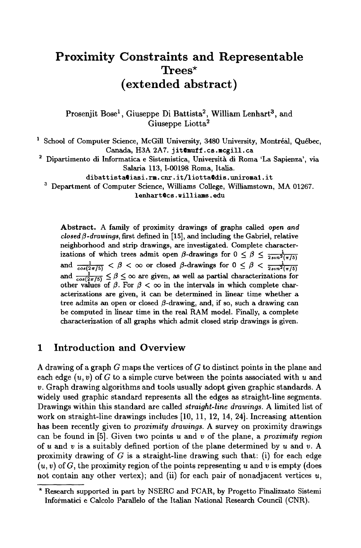# **Proximity Constraints and Representable Trees\* (extended abstract)**

Prosenjit Bose<sup>1</sup>, Giuseppe Di Battista<sup>2</sup>, William Lenhart<sup>3</sup>, and Giuseppe Liotta $^2$ 

<sup>1</sup> School of Computer Science, McGill University, 3480 University, Montréal, Québec, Canada, H3A 2A7. jit@muff.cs.mcgill.ca

 $2$  Dipartimento di Informatica e Sistemistica, Università di Roma 'La Sapienza', via Salaria 113, 1-00198 Roma, Italia.

dibattista@iasi.rm.cnr.it/liotta@dis.uniroma1.it

<sup>3</sup> Department of Computer Science, Williams College, Williamstown, MA 01267.

lenhart @cs. williams, **edu** 

Abstract. A family of proximity drawings of graphs called *open and*   $closed \beta$ -drawings, first defined in [15], and including the Gabriel, relative neighborhood and strip drawings, are investigated. Complete characterizations of which trees admit open  $\beta$ -drawings for  $0 \leq \beta \leq \frac{1}{2\sin^2(\pi/5)}$ and  $\frac{1}{\cos(2\pi/5)} < \beta < \infty$  or closed  $\beta$ -drawings for  $0 \leq \beta < \frac{1}{2\cos^2(\beta)}$ and  $\frac{1}{\cos(2\pi/5)} \leq \beta \leq \infty$  are given, as well as partial characterizations for other values of  $\beta$ . For  $\beta < \infty$  in the intervals in which complete characterizations are given, it can be determined in linear time whether a tree admits an open or closed  $\beta$ -drawing, and, if so, such a drawing can be computed in linear time in the real RAM model. Finally, a complete characterization of all graphs which admit closed strip drawings is given.

# **1 Introduction and Overview**

A drawing of a graph G maps the vertices of G to distinct points in the plane and each edge  $(u, v)$  of G to a simple curve between the points associated with u and v. Graph drawing algorithms and tools usually adopt given graphic standards. A widely used graphic standard represents all the edges as straight-line segments. Drawings within this standard are called *straight-line drawings.* A limited list of work on straight-line drawings includes [10, 11, 12, 14, 24]. Increasing attention has been recently given to *proximity drawings.* A survey on proximity drawings can be found in [5]. Given two points u and v of the plane, a *proximity region*  of u and v is a suitably defined portion of the plane determined by u and v. A proximity drawing of G is a straight-line drawing such that: (i) for each edge  $(u, v)$  of G, the proximity region of the points representing u and v is empty (does not contain any other vertex); and (ii) for each pair of nonadjacent vertices  $u$ ,

<sup>\*</sup> Research supported in part by NSERC and FCAR, by Progetto Finalizzato Sistemi Informatici e Calcolo Parallelo of the Italian National Research Council (CNR).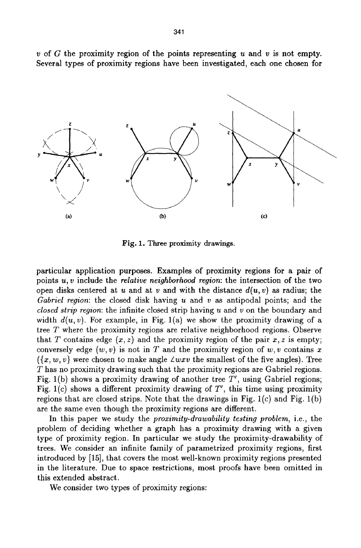



**Fig.** 1. Three proximity drawings.

particular application purposes. Examples of proximity regions for a pair of points u, v include the *relative neighborhood region:* the intersection of the two open disks centered at u and at v and with the distance  $d(u, v)$  as radius; the *Gabriel region:* the closed disk having u and v as antipodal points; and the *closed strip region:* the infinite closed strip having u and v on the boundary and width  $d(u, v)$ . For example, in Fig. 1(a) we show the proximity drawing of a tree T where the proximity regions are relative neighborhood regions. Observe that T contains edge  $(x, z)$  and the proximity region of the pair  $x, z$  is empty; conversely edge  $(w, v)$  is not in T and the proximity region of  $w, v$  contains x  $({x, w, v}$  were chosen to make angle  $\angle wxv$  the smallest of the five angles). Tree T has no proximity drawing such that the proximity regions are Gabriel regions. Fig. 1(b) shows a proximity drawing of another tree  $T'$ , using Gabriel regions; Fig. l(c) shows a different proximity drawing of *T',* this time using proximity regions that are closed strips. Note that the drawings in Fig.  $1(c)$  and Fig.  $1(b)$ are the same even though the proximity regions are different.

In this paper we study the *proximity-drawability testing problem,* i.e., the problem of deciding whether a graph has a proximity drawing with a given type of proximity region. In particular we study the proximity-drawability of trees. We consider an infinite family of parametrized proximity regions, first introduced by [15], that covers the most well-known proximity regions presented in the literature. Due to space restrictions, most proofs have been omitted in this extended abstract.

We consider two types of proximity regions: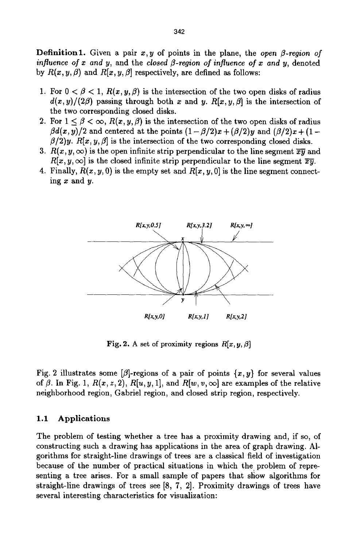**Definition 1.** Given a pair  $x, y$  of points in the plane, the *open*  $\beta$ *-region of influence of*  $x$  *and*  $y$ *, and the closed*  $\beta$ *-region of influence of*  $x$  *and*  $y$ *, denoted* by  $R(x, y, \beta)$  and  $R[x, y, \beta]$  respectively, are defined as follows:

- 1. For  $0 < \beta < 1$ ,  $R(x, y, \beta)$  is the intersection of the two open disks of radius  $d(x, y)/(2\beta)$  passing through both x and y.  $R[x, y, \beta]$  is the intersection of the two corresponding closed disks.
- 2. For  $1 \leq \beta < \infty$ ,  $R(x, y, \beta)$  is the intersection of the two open disks of radius  $\beta d(x, y)/2$  and centered at the points  $(1 - \beta/2)x + (\beta/2)y$  and  $(\beta/2)x + (1$  $f(\beta/2)y$ .  $R[x, y, \beta]$  is the intersection of the two corresponding closed disks.
- 3.  $R(x, y, \infty)$  is the open infinite strip perpendicular to the line segment  $\overline{x}\overline{y}$  and  $R[x, y, \infty]$  is the closed infinite strip perpendicular to the line segment  $\overline{xy}$ .
- 4. Finally,  $R(x, y, 0)$  is the empty set and  $R[x, y, 0]$  is the line segment connecting  $x$  and  $y$ .



Fig. 2. A set of proximity regions  $R[x, y, \beta]$ 

Fig. 2 illustrates some [ $\beta$ ]-regions of a pair of points  $\{x, y\}$  for several values of  $\beta$ . In Fig. 1,  $R(x, z, 2)$ ,  $R[u, y, 1]$ , and  $R[w, v, \infty]$  are examples of the relative neighborhood region, Gabriel region, and closed strip region, respectively.

#### 1.1 Applications

The problem of testing whether a tree has a proximity drawing and, if so, of constructing such a drawing has applications in the area of graph drawing. Algorithms for straight-line drawings of trees are a classical field of investigation because of the number of practical situations in which the problem of representing a tree arises. For a small sample of papers that show algorithms for straight-line drawings of trees see [8, 7, 2]. Proximity drawings of trees have several interesting characteristics for visualization: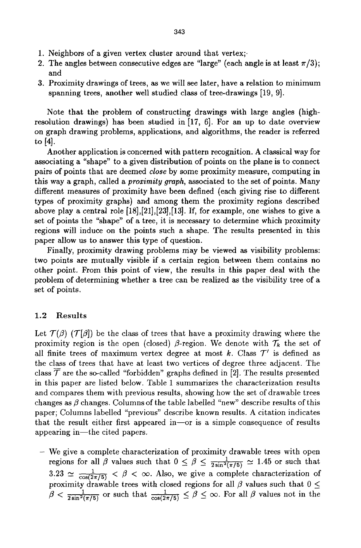- 1. Neighbors of a given vertex cluster around that vertex;.
- 2. The angles between consecutive edges are "large" (each angle is at least  $\pi/3$ ); and
- 3. Proximity drawings of trees, as we will see later, have a relation to minimum spanning trees, another well studied class of tree-drawings [19, 9].

Note that the problem of constructing drawings with large angles (highresolution drawings) has been studied in [17, 6]. For an up to date overview on graph drawing problems, applications, and algorithms, the reader is referred to [4].

Another application is concerned with pattern recognition. A classical way for associating a "shape" to a given distribution of points on the plane is to connect pairs of points that are deemed *close* by some proximity measure, computing in this way a graph, called a *proximity graph,* associated to the set of points. Many different measures of proximity have been defined (each giving rise to different types of proximity graphs) and among them the proximity regions described above play a central role [18],[21],[23],[13]. If, for example, one wishes to give a set of points the "shape" of a tree, it is necessary to determine which proximity regions will induce on the points such a shape. The results presented in this paper allow us to answer this type of question.

Finally, proximity drawing problems may be viewed as visibility problems: two points are mutually visible if a certain region between them contains no other point. From this point of view, the results in this paper deal with the problem of determining whether a tree can be realized as the visibility tree of a set of points.

#### 1.2 Results

Let  $\mathcal{T}(\beta)$  ( $\mathcal{T}[\beta]$ ) be the class of trees that have a proximity drawing where the proximity region is the open (closed)  $\beta$ -region. We denote with  $\mathcal{T}_k$  the set of all finite trees of maximum vertex degree at most k. Class  $\mathcal{T}'$  is defined as the class of trees that have at least two vertices of degree three adjacent. The class  $\mathcal T$  are the so-called "forbidden" graphs defined in [2]. The results presented in this paper are listed below. Table 1 summarizes the characterization results and compares them with previous results, showing how the set of drawable trees changes as  $\beta$  changes. Columns of the table labelled "new" describe results of this paper; Columns labelled "previous" describe known results. A citation indicates that the result either first appeared in-or is a simple consequence of results appearing in--the cited papers.

- We give a complete characterization of proximity drawable trees with open regions for all  $\beta$  values such that  $0 \leq \beta \leq \frac{1}{2 \sin^2(\pi/5)} \approx 1.45$  or such that  $3.23 \simeq \frac{1}{\cos(2\pi/5)} < \beta < \infty$ . Also, we give a complete characterization of proximity drawable trees with closed regions for all  $\beta$  values such that  $0 \le$  $\beta < \frac{1}{2 \sin^2(\pi/5)}$  or such that  $\frac{1}{\cos(2\pi/5)} \leq \beta \leq \infty$ . For all  $\beta$  values not in the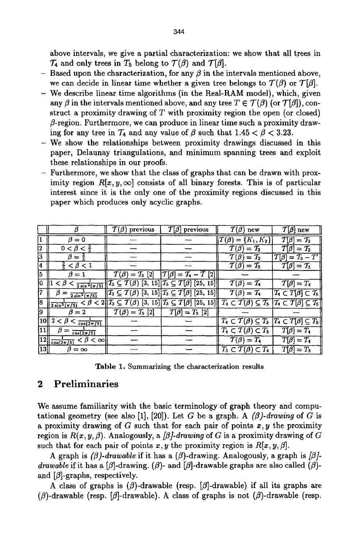above intervals, we give a partial characterization: we show that all trees in  $\mathcal{T}_4$  and only trees in  $T_5$  belong to  $\mathcal{T}(\beta)$  and  $\mathcal{T}(\beta)$ .

- Based upon the characterization, for any  $\beta$  in the intervals mentioned above, we can decide in linear time whether a given tree belongs to  $\mathcal{T}(\beta)$  or  $\mathcal{T}[\beta]$ .
- $-$  We describe linear time algorithms (in the Real-RAM model), which, given any  $\beta$  in the intervals mentioned above, and any tree  $T \in \mathcal{T}(\beta)$  (or  $\mathcal{T}[\beta]$ ), construct a proximity drawing of  $T$  with proximity region the open (or closed)  $\beta$ -region. Furthermore, we can produce in linear time such a proximity drawing for any tree in  $\mathcal{T}_4$  and any value of  $\beta$  such that  $1.45 < \beta < 3.23$ .
- We show the relationships between proximity drawings discussed in this paper, Delaunay triangulations, and minimum spanning trees and exploit these relationships in our proofs.
- Furthermore, we show that the class of graphs that can be drawn with proximity region  $R[x, y, \infty]$  consists of all binary forests. This is of particular interest since it is the only one of the proximity regions discussed in this paper which produces only acyclic graphs.

|     |                                                  | $T(\beta)$ previous                      | $\mathcal{T}[\beta]$ previous                                                                                                                   | $T(\beta)$ new                                                               | $T[\beta]$ new                                         |
|-----|--------------------------------------------------|------------------------------------------|-------------------------------------------------------------------------------------------------------------------------------------------------|------------------------------------------------------------------------------|--------------------------------------------------------|
| 11  | $\beta = 0$                                      |                                          |                                                                                                                                                 | $T(\beta) = \{K_1, K_2\}$                                                    | $T[\beta]=T_2$                                         |
| 12  | $0 < \beta < \frac{2}{3}$                        |                                          |                                                                                                                                                 | $= T_2$<br>$T(\beta)$                                                        | $T[\beta]=T_2$                                         |
| 3   | $\beta = \frac{2}{5}$                            |                                          |                                                                                                                                                 | $\tau$ (b<br>$=\mathcal{T}_2$                                                | $T[\beta]=T_3-T'$                                      |
| 14. | $\frac{2}{3} < \beta < 1$                        |                                          |                                                                                                                                                 | $T(\beta)=T_3$                                                               | $T[\beta]=T_3$                                         |
| 15. | $\beta = 1$                                      | $\mathcal{T}(\beta) = \mathcal{T}_3$ [2] | $\mathcal{T}[\beta]=\mathcal{T}_4-\mathcal{T}[2]]$                                                                                              |                                                                              |                                                        |
| l6. | $1 < \beta < \frac{1}{2 \sin^2(\pi/5)}$          |                                          | $T_3 \subseteq T(\beta)$ [3, 15] $T_3 \subseteq T[\beta]$ [25, 15]                                                                              | $\overline{T(\beta)} = T_4$                                                  | $\overline{T}[\beta]=T_4$                              |
| 7   | $\beta =$<br>$2 sin^2(\pi/5)$                    |                                          | $\left\ T_3 \subseteq \mathcal{T}(\beta)\right\  \left[3, 15\right]\left\ T_3 \subseteq \mathcal{T}[\beta]\right\  \left[25, 15\right]\right\ $ | $\overline{\mathcal{T}(\beta)} = \mathcal{T}_4$                              | $\mathcal{T}_4 \subset T[\beta] \subset \mathcal{T}_5$ |
| 8   | $2 sin2(\pi/5)$                                  |                                          | $< \beta < 2   T_3 \subseteq T(\beta) [3, 15]   T_3 \subseteq T[\beta] [25, 15]  $                                                              | $T_4 \subset T(\beta) \subseteq T_5 \mid T_4 \subset T[\beta] \subseteq T_5$ |                                                        |
| ļ9  | $\beta=2$                                        | $\mathcal{T}(\beta) = \mathcal{T}_5 [2]$ | $T[\beta]=T_5[2]$                                                                                                                               |                                                                              |                                                        |
| 10  | $2 < \beta < \frac{1}{\cos(2\pi/5)}$             |                                          |                                                                                                                                                 | $T_4 \subset T(\beta) \subseteq T_5$                                         | $T_4 \subset T[\beta] \subseteq T_5$                   |
| 11  | $cos(2\pi/5)$                                    |                                          |                                                                                                                                                 | $T_4 \subset T(\beta) \subset T_5$                                           | $T[\beta]=T_4$                                         |
| 12  | $\sqrt{\frac{1}{\cos(2\pi/5)}} < \beta < \infty$ |                                          |                                                                                                                                                 | $\overline{T}(\beta) = T_4$                                                  | $T[\beta]=T_4$                                         |
| 13  | $\beta = \infty$                                 |                                          |                                                                                                                                                 | $T_3 \subset T(\beta) \subset T_4$                                           | $T[\beta]=T_3$                                         |

Table 1. Summarizing the characterization results

# **2 Preliminaries**

We assume familiarity with the basic terminology of graph theory and computational geometry (see also [1], [20]). Let G be a graph. A  $(\beta)$ -drawing of G is a proximity drawing of G such that for each pair of points  $x, y$  the proximity region is  $R(x, y, \beta)$ . Analogously, a  $\beta$ -*drawing* of G is a proximity drawing of G such that for each pair of points x, y the proximity region is  $R[x, y, \beta]$ .

A graph is  $(\beta)$ -drawable if it has a  $(\beta)$ -drawing. Analogously, a graph is  $[\beta]$ *drawable* if it has a [ $\beta$ ]-drawing. ( $\beta$ )- and [ $\beta$ ]-drawable graphs are also called ( $\beta$ )and  $[\beta]$ -graphs, respectively.

A class of graphs is  $(\beta)$ -drawable (resp.  $[\beta]$ -drawable) if all its graphs are ( $\beta$ )-drawable (resp. [ $\beta$ ]-drawable). A class of graphs is not ( $\beta$ )-drawable (resp.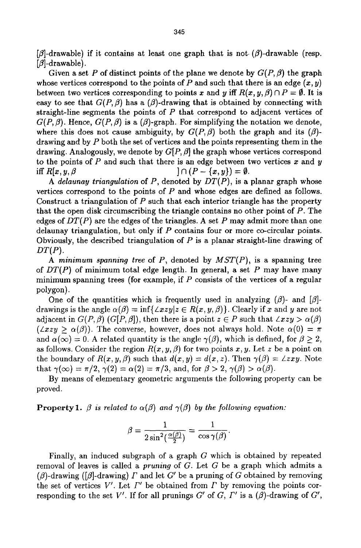$[\beta]$ -drawable) if it contains at least one graph that is not.  $(\beta)$ -drawable (resp.  $[\beta]$ -drawable).

Given a set P of distinct points of the plane we denote by  $G(P, \beta)$  the graph whose vertices correspond to the points of P and such that there is an edge  $(x, y)$ between two vertices corresponding to points x and y iff  $R(x, y, \beta) \cap P = \emptyset$ . It is easy to see that  $G(P, \beta)$  has a  $(\beta)$ -drawing that is obtained by connecting with straight-line segments the points of  $P$  that correspond to adjacent vertices of  $G(P,\beta)$ . Hence,  $G(P,\beta)$  is a  $(\beta)$ -graph. For simplifying the notation we denote, where this does not cause ambiguity, by  $G(P, \beta)$  both the graph and its  $(\beta)$ drawing and by P both the set of vertices and the points representing them in the drawing. Analogously, we denote by  $G[P,\beta]$  the graph whose vertices correspond to the points of P and such that there is an edge between two vertices x and y iff  $R[x, y, \beta$   $] \cap (P - \{x, y\}) = \emptyset$ .

*A delaunay triangulation* of P, denoted by *DT(P),* is a planar graph whose vertices correspond to the points of  $P$  and whose edges are defined as follows. Construct a triangulation of  $P$  such that each interior triangle has the property that the open disk circumscribing the triangle contains no other point of  $P$ . The edges of  $DT(P)$  are the edges of the triangles. A set P may admit more than one delaunay triangulation, but only if P contains four or more co-circular points. Obviously, the described triangulation of  $P$  is a planar straight-line drawing of *DT(P).* 

*A minimum spanning tree* of P, denoted by *MST(P),* is a spanning tree of *DT(P)* of minimum total edge length. In general, a set P may have many minimum spanning trees (for example, if P consists of the vertices of a regular polygon).

One of the quantities which is frequently used in analyzing  $(\beta)$ - and  $[\beta]$ drawings is the angle  $\alpha(\beta) = \inf\{\angle xzy|z \in R(x, y, \beta)\}\.$  Clearly if x and y are not adjacent in  $G(P, \beta)$  ( $G[P, \beta]$ ), then there is a point  $z \in P$  such that  $\angle xzy > \alpha(\beta)$  $(\angle xzy > \alpha(\beta))$ . The converse, however, does not always hold. Note  $\alpha(0) = \pi$ and  $\alpha(\infty) = 0$ . A related quantity is the angle  $\gamma(\beta)$ , which is defined, for  $\beta \geq 2$ , as follows. Consider the region  $R(x, y, \beta)$  for two points x, y. Let z be a point on the boundary of  $R(x, y, \beta)$  such that  $d(x, y) = d(x, z)$ . Then  $\gamma(\beta) = \angle zxy$ . Note that  $\gamma(\infty) = \pi/2$ ,  $\gamma(2) = \alpha(2) = \pi/3$ , and, for  $\beta > 2$ ,  $\gamma(\beta) > \alpha(\beta)$ .

By means of elementary geometric arguments the following property can be proved.

**Property 1.**  $\beta$  *is related to*  $\alpha(\beta)$  *and*  $\gamma(\beta)$  *by the following equation:* 

$$
\beta = \frac{1}{2\sin^2(\frac{\alpha(\beta)}{2})} = \frac{1}{\cos \gamma(\beta)}.
$$

Finally, an induced subgraph of a graph G which is obtained by repeated removal of leaves is called a *pruning* of G. Let G be a graph which admits a ( $\beta$ )-drawing ([ $\beta$ ]-drawing)  $\Gamma$  and let  $G'$  be a pruning of  $G$  obtained by removing the set of vertices  $V'$ . Let  $\Gamma'$  be obtained from  $\Gamma$  by removing the points corresponding to the set V'. If for all prunings  $G'$  of  $G$ ,  $\Gamma'$  is a  $(\beta)$ -drawing of  $G'$ ,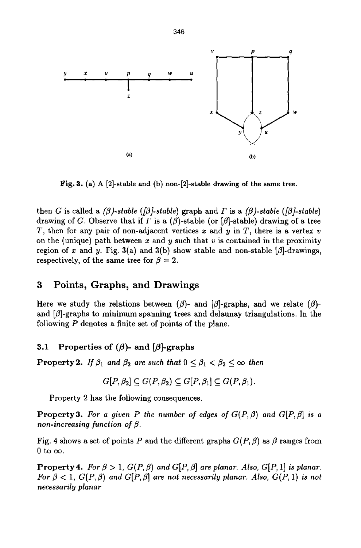

Fig. 3. (a) A [2]-stable and (b) non-[2]-stable drawing of the same tree.

then G is called a  $(\beta)$ -stable ( $[\beta]$ -stable) graph and  $\Gamma$  is a  $(\beta)$ -stable ( $[\beta]$ -stable) drawing of G. Observe that if  $\Gamma$  is a ( $\beta$ )-stable (or [ $\beta$ ]-stable) drawing of a tree T, then for any pair of non-adjacent vertices x and y in T, there is a vertex v on the (unique) path between x and y such that v is contained in the proximity region of x and y. Fig. 3(a) and 3(b) show stable and non-stable  $[\beta]$ -drawings, respectively, of the same tree for  $\beta = 2$ .

# **3 Points, Graphs, and** Drawings

Here we study the relations between  $(\beta)$ - and  $[\beta]$ -graphs, and we relate  $(\beta)$ and  $\beta$ -graphs to minimum spanning trees and delaunay triangulations. In the following P denotes a finite set of points of the plane.

### **3.1 Properties of (** $\beta$ **)- and [** $\beta$ **]-graphs**

**Property 2.** *If*  $\beta_1$  and  $\beta_2$  are such that  $0 \leq \beta_1 < \beta_2 \leq \infty$  then

$$
G[P, \beta_2] \subseteq G(P, \beta_2) \subseteq G[P, \beta_1] \subseteq G(P, \beta_1).
$$

Property 2 has the following consequences.

**Property 3.** For a given P the number of edges of  $G(P, \beta)$  and  $G[P, \beta]$  is a *non-increasing function of*  $\beta$ *.* 

Fig. 4 shows a set of points P and the different graphs  $G(P, \beta)$  as  $\beta$  ranges from 0 to  $\infty$ .

**Property 4.** For  $\beta > 1$ ,  $G(P, \beta)$  and  $G[P, \beta]$  are planar. Also,  $G[P, 1]$  is planar. *For*  $\beta$  < 1,  $G(P, \beta)$  and  $G[P, \beta]$  are not necessarily planar. Also,  $G(P, 1)$  is not *necessarily planar*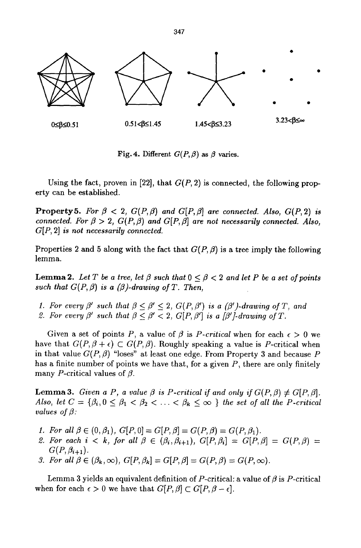

Fig. 4. Different  $G(P, \beta)$  as  $\beta$  varies.

Using the fact, proven in [22], that  $G(P, 2)$  is connected, the following property can be established.

**Property 5.** *For*  $\beta$  < 2,  $G(P, \beta)$  and  $G[P, \beta]$  are connected. Also,  $G(P, 2)$  is *connected. For*  $\beta > 2$ ,  $G(P, \beta)$  and  $G[P, \beta]$  are not necessarily connected. Also, *G[P, 2] is not necessarily connected.* 

Properties 2 and 5 along with the fact that  $G(P, \beta)$  is a tree imply the following lemma.

**Lemma 2.** Let T be a tree, let  $\beta$  such that  $0 \leq \beta \leq 2$  and let P be a set of points such that  $G(P, \beta)$  is a  $(\beta)$ -drawing of T. Then,

- *1. For every*  $\beta'$  *such that*  $\beta < \beta' < 2$ ,  $G(P, \beta')$  is a  $(\beta')$ -drawing of T, and
- 2. For every  $\beta'$  such that  $\beta < \beta' < 2$ ,  $G[P, \beta']$  is a  $[\beta']$ -drawing of T.

Given a set of points P, a value of  $\beta$  is P-critical when for each  $\epsilon > 0$  we have that  $G(P,\beta+\epsilon) \subset G(P,\beta)$ . Roughly speaking a value is P-critical when in that value  $G(P, \beta)$  "loses" at least one edge. From Property 3 and because P has a finite number of points we have that, for a given *P,* there are only finitely many P-critical values of  $\beta$ .

**Lemma 3.** *Given a P, a value*  $\beta$  *is P-critical if and only if*  $G(P, \beta) \neq G[P, \beta]$ *. Also, let*  $C = \{\beta_i, 0 \leq \beta_1 < \beta_2 < \ldots < \beta_k \leq \infty\}$  the set of all the P-critical *values of*  $\beta$ *:* 

- *1. For all*  $\beta \in (0,\beta_1), G[P,0] = G[P,\beta] = G(P,\beta) = G(P,\beta_1).$
- 2. For each  $i < k$ , for all  $\beta \in (\beta_i, \beta_{i+1}), G[P, \beta_i] = G[P, \beta] = G(P, \beta)$  $G(P, \beta_{i+1}).$
- *3. For all*  $\beta \in (\beta_k, \infty)$ ,  $G[P, \beta_k] = G[P, \beta] = G(P, \beta) = G(P, \infty)$ .

Lemma 3 yields an equivalent definition of P-critical: a value of  $\beta$  is P-critical when for each  $\epsilon > 0$  we have that  $G[P,\beta] \subset G[P,\beta - \epsilon]$ .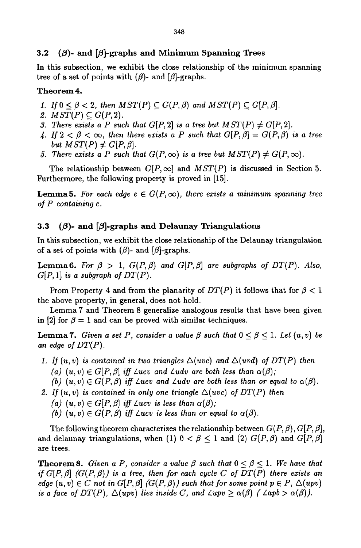#### **3.2** ( $\beta$ )- and  $[\beta]$ -graphs and Minimum Spanning Trees

In this subsection, we exhibit the close relationship of the minimum spanning tree of a set of points with  $(\beta)$ - and  $[\beta]$ -graphs.

#### Theorem 4.

- *1. If*  $0 \leq \beta < 2$ , then  $MST(P) \subseteq G(P, \beta)$  and  $MST(P) \subseteq G(P, \beta)$ .
- 2.  $MST(P) \subseteq G(P, 2)$ .
- *3. There exists a P such that G[P, 2] is a tree but*  $MST(P) \neq G[P, 2]$ *.*
- 4. If  $2 < \beta < \infty$ , then there exists a P such that  $G[P,\beta] = G(P,\beta)$  is a tree *but*  $MST(P) \neq G[P, \beta]$ *.*
- *5. There exists a P such that*  $G(P, \infty)$  *is a tree but*  $MST(P) \neq G(P, \infty)$ *.*

The relationship between  $G[P,\infty]$  and  $MST(P)$  is discussed in Section 5. Furthermore, the following property is proved in [15].

**Lemma5.** For each edge  $e \in G(P,\infty)$ , there exists a minimum spanning tree *of P containing e.* 

#### **3.3** ( $\beta$ )- and  $\beta$ ]-graphs and Delaunay Triangulations

In this subsection, we exhibit the close relationship of the Delaunay triangulation of a set of points with  $(\beta)$ - and  $[\beta]$ -graphs.

**Lemma6.** For  $\beta > 1$ ,  $G(P, \beta)$  and  $G[P, \beta]$  are subgraphs of  $DT(P)$ . Also,  $G[P, 1]$  *is a subgraph of DT(P).* 

From Property 4 and from the planarity of  $DT(P)$  it follows that for  $\beta < 1$ the above property, in general, does not hold.

Lemma 7 and Theorem 8 generalize analogous results that have been given in [2] for  $\beta = 1$  and can be proved with similar techniques.

**Lemma 7.** *Given a set P, consider a value*  $\beta$  *such that*  $0 \leq \beta \leq 1$ *. Let*  $(u, v)$  be *an edge of DT(P).* 

- *I. If*  $(u, v)$  *is contained in two triangles*  $\Delta(uvc)$  *and*  $\Delta(uvc)$  *of DT(P) then* (a)  $(u, v) \in G[P, \beta]$  *iff Lucy and Ludy are both less than*  $\alpha(\beta)$ *;* 
	- *(b)*  $(u, v) \in G(P, \beta)$  *iff Lucv and Ludv are both less than or equal to*  $\alpha(\beta)$ *.*
- 2. If  $(u, v)$  is contained in only one triangle  $\Delta(uv)$  of  $DT(P)$  then
	- *(a)*  $(u, v) \in G[P, \beta]$  *iff*  $\angle ucv$  *is less than*  $\alpha(\beta)$ ;
	- *(b)*  $(u, v) \in G(P, \beta)$  *iff*  $\angle ucv$  *is less than or equal to*  $\alpha(\beta)$ *.*

The following theorem characterizes the relationship between  $G(P, \beta)$ ,  $G[P, \beta]$ , and delaunay triangulations, when (1)  $0 < \beta \leq 1$  and (2)  $G(P, \beta)$  and  $G[P, \beta]$ are trees.

**Theorem 8.** *Given a P, consider a value*  $\beta$  *such that*  $0 \leq \beta \leq 1$ *. We have that if G[P,*  $\beta$ *] (G(P,*  $\beta$ *)) is a tree, then for each cycle C of DT(P) there exists an edge*  $(u, v) \in C$  *not in*  $G[P, \beta]$   $(G(P, \beta))$  *such that for some point*  $p \in P$ ,  $\Delta(upv)$ *is a face of DT(P),*  $\Delta (upv)$  lies inside C, and  $\angle upv \geq \alpha(\beta)$  ( $\angle apb > \alpha(\beta)$ ).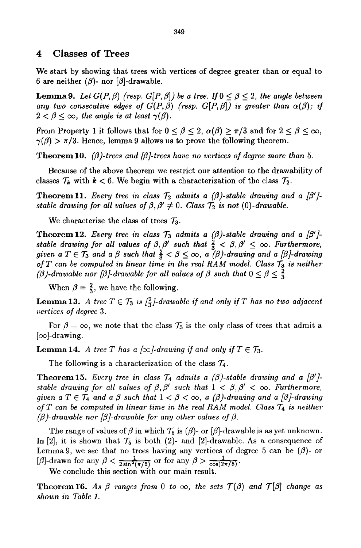#### **4 Classes of Trees**

We start by showing that trees with vertices of degree greater than or equal to 6 are neither  $(\beta)$ - nor  $[\beta]$ -drawable.

**Lemma 9.** Let  $G(P, \beta)$  (resp.  $G[P, \beta]$ ) be a tree. If  $0 \le \beta \le 2$ , the angle between any two consecutive edges of  $G(P, \beta)$  (resp.  $G(P, \beta)$ ) is greater than  $\alpha(\beta)$ ; if  $2 < \beta < \infty$ , the angle is at least  $\gamma(\beta)$ .

From Property 1 it follows that for  $0 \le \beta \le 2$ ,  $\alpha(\beta) \ge \pi/3$  and for  $2 \le \beta \le \infty$ ,  $\gamma(\beta) > \pi/3$ . Hence, lemma 9 allows us to prove the following theorem.

**Theorem 10.** *(* $\beta$ *)-trees and [* $\beta$ *]-trees have no vertices of degree more than* 5.

Because of the above theorem we restrict our attention to the drawability of classes  $\mathcal{T}_k$  with  $k < 6$ . We begin with a characterization of the class  $\mathcal{T}_2$ .

**Theorem 11.** *Every tree in class*  $\mathcal{T}_2$  admits a  $(\beta)$ -stable drawing and a  $[\beta']$ *stable drawing for all values of*  $\beta$ *,*  $\beta' \neq 0$ *. Class*  $\mathcal{T}_2$  *is not (0)-drawable.* 

We characterize the class of trees  $\mathcal{T}_3$ .

**Theorem 12.** *Every tree in class*  $\mathcal{T}_3$  *admits a (* $\beta$ *)-stable drawing and a [* $\beta'$ *]stable drawing for all values of*  $\beta$ *,*  $\beta'$  *such that*  $\frac{2}{3} < \beta$ ,  $\beta' \leq \infty$ . Furthermore, *given a*  $T \in \mathcal{T}_3$  and a  $\beta$  such that  $\frac{2}{3} < \beta \leq \infty$ , a  $(\beta)$ -drawing and a  $[\beta]$ -drawing *of*  $T$  can be computed in linear time in the real RAM model. Class  $T_3$  is neither *(* $\beta$ *)-drawable nor [* $\beta$ *]-drawable for all values of*  $\beta$  *such that*  $0 \leq \beta \leq \frac{2}{3}$ 

When  $\beta = \frac{2}{3}$ , we have the following.

**Lemma 13.** *A tree*  $T \in \mathcal{T}_3$  *is*  $\left[\frac{2}{3}\right]$ -drawable if and only if T has no two adjacent *vertices of degree 3.* 

For  $\beta = \infty$ , we note that the class  $\mathcal{T}_3$  is the only class of trees that admit a  $[\infty]$ -drawing.

**Lemma 14.** *A tree T has a*  $\infty$ *-drawing if and only if*  $T \in \mathcal{T}_3$ .

The following is a characterization of the class  $\mathcal{T}_4$ .

**Theorem 15.** *Every tree in class*  $\mathcal{T}_4$  admits a  $(\beta)$ -stable drawing and a  $[\beta']$ . *stable drawing for all values of*  $\beta$ *,*  $\beta'$  *such that*  $1 < \beta$ ,  $\beta' < \infty$ . Furthermore, *given a*  $T \in \mathcal{T}_4$  *and a*  $\beta$  *such that*  $1 < \beta < \infty$ *, a (* $\beta$ *)-drawing and a [* $\beta$ *]-drawing of T can be computed in linear time in the real RAM model. Class T4 is neither*   $(\beta)$ -drawable nor  $[\beta]$ -drawable for any other values of  $\beta$ .

The range of values of  $\beta$  in which  $\mathcal{T}_5$  is ( $\beta$ )- or [ $\beta$ ]-drawable is as yet unknown. In [2], it is shown that  $\mathcal{T}_5$  is both (2)- and [2]-drawable. As a consequence of Lemma 9, we see that no trees having any vertices of degree 5 can be  $(\beta)$ - or [ $\beta$ ]-drawn for any  $\beta < \frac{1}{2 \sin^2(\pi/5)}$  or for any  $\beta > \frac{1}{\cos(2\pi/5)}$ .

We conclude this section with our main result.

**Theorem 16.** As  $\beta$  ranges from 0 to  $\infty$ , the sets  $T(\beta)$  and  $T[\beta]$  change as *shown in Table 1.*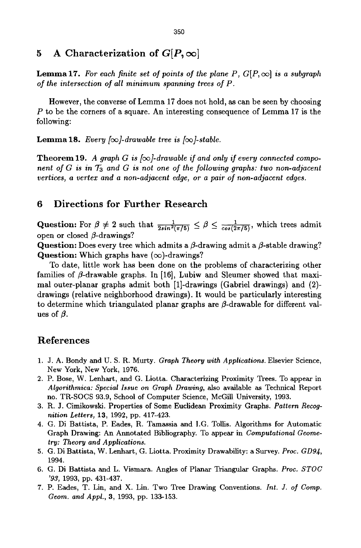# **5** A Characterization of  $G[P,\infty]$

**Lemma 17.** For each finite set of points of the plane P,  $G[P,\infty]$  is a subgraph *of the intersection of all minimum spanning trees of P.* 

However, the converse of Lemma 17 does not hold, as can be seen by choosing P to be the corners of a square. An interesting consequence of Lemma 17 is the following:

**Lemma 18.** *Every [* $\infty$ *]-drawable tree is [* $\infty$ *]-stable.* 

**Theorem 19.** A graph G is  $[\infty]$ -drawable if and only if every connected compo*nent of G is in T<sub>3</sub> and G is not one of the following graphs: two non-adjacent vertices, a vertex and a non-adjacent edge, or a pair of non-adjacent edges.* 

### **6 Directions for Further Research**

Question: For  $\beta \neq 2$  such that  $\frac{1}{2\sin^2(\pi/5)} \leq \beta \leq \frac{1}{\cos(2\pi/5)}$ , which trees admit open or closed  $\beta$ -drawings?

Question: Does every tree which admits a  $\beta$ -drawing admit a  $\beta$ -stable drawing? Question: Which graphs have  $(\infty)$ -drawings?

To date, little work has been done on the problems of characterizing other families of  $\beta$ -drawable graphs. In [16], Lubiw and Sleumer showed that maximal outer-planar graphs admit both [1J-drawings (Gabriel drawings) and (2) drawings (relative neighborhood drawings). It would be particularly interesting to determine which triangulated planar graphs are  $\beta$ -drawable for different values of  $\beta$ .

# **References**

- 1. J. A. Bondy and U. S. R. Murty. *Graph Theory with Applications.* Elsevier Science, New York, New York, 1976.
- 2. P. Bose, W. Lenhart, and G. Liotta. Characterizing Proximity Trees. To appear in *Aigorithmica: Special Issue on Graph Drawing,* also available as Technical Report no. TR-SOCS 93.9, School of Computer Science, McGill University, 1993.
- 3. R. J. Cimikowski. Properties of Some Euclidean Proximity Graphs. *Pattern Recognition Letters,* 13, 1992, pp. 417-423.
- 4. G. Di Battista, P. Eades, R. Tamassia and I.G. Tollis. Algorithms for Automatic Graph Drawing: An Annotated Bibliography. To appear in *Computational Geometry: Theory and Applications.*
- 5. G. Di Battista, W. Lenhart, G. Liotta, Proximity Drawability: a Survey. *Proc. GD94,*  1994.
- 6. G. Di Battista and L. Vismara. Angles of Planar Triangular Graphs. *Proc. STOC '93,* 1993, pp. 431-437.
- 7. P. Eades, T. Lin, and X. Lin. Two Tree Drawing Conventions. *Int. J. of Comp. Geom. and Appl.,* 3, 1993, pp. 133-153.